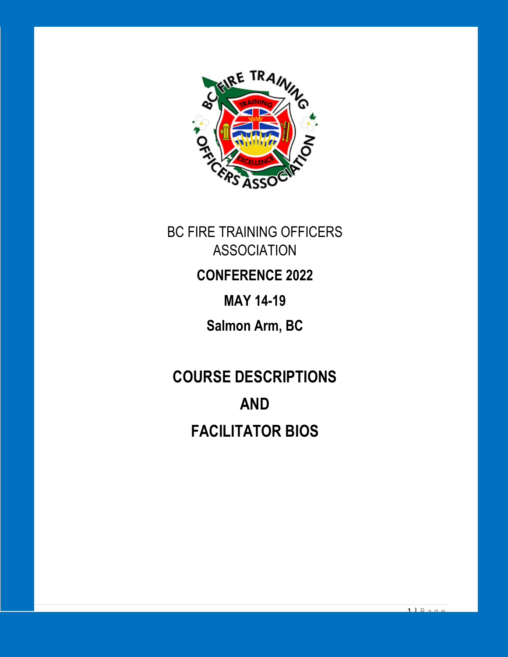

BC FIRE TRAINING OFFICERS ASSOCIATION **CONFERENCE 2022 MAY 14-19 Salmon Arm, BC**

**COURSE DESCRIPTIONS AND FACILITATOR BIOS**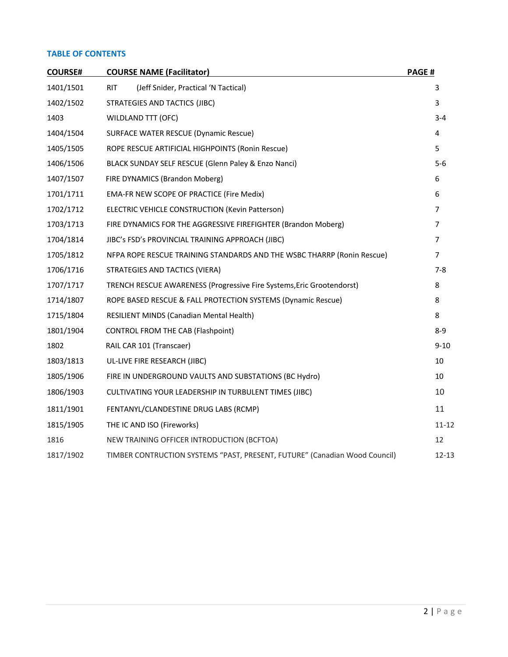## **TABLE OF CONTENTS**

| <b>COURSE#</b> | <b>COURSE NAME (Facilitator)</b>                                           | PAGE#          |
|----------------|----------------------------------------------------------------------------|----------------|
| 1401/1501      | (Jeff Snider, Practical 'N Tactical)<br><b>RIT</b>                         | 3              |
| 1402/1502      | STRATEGIES AND TACTICS (JIBC)                                              | 3              |
| 1403           | <b>WILDLAND TTT (OFC)</b>                                                  | $3 - 4$        |
| 1404/1504      | SURFACE WATER RESCUE (Dynamic Rescue)                                      | 4              |
| 1405/1505      | ROPE RESCUE ARTIFICIAL HIGHPOINTS (Ronin Rescue)                           | 5              |
| 1406/1506      | BLACK SUNDAY SELF RESCUE (Glenn Paley & Enzo Nanci)                        | 5-6            |
| 1407/1507      | FIRE DYNAMICS (Brandon Moberg)                                             | 6              |
| 1701/1711      | EMA-FR NEW SCOPE OF PRACTICE (Fire Medix)                                  | 6              |
| 1702/1712      | <b>ELECTRIC VEHICLE CONSTRUCTION (Kevin Patterson)</b>                     | $\overline{7}$ |
| 1703/1713      | FIRE DYNAMICS FOR THE AGGRESSIVE FIREFIGHTER (Brandon Moberg)              | $\overline{7}$ |
| 1704/1814      | JIBC's FSD's PROVINCIAL TRAINING APPROACH (JIBC)                           | $\overline{7}$ |
| 1705/1812      | NFPA ROPE RESCUE TRAINING STANDARDS AND THE WSBC THARRP (Ronin Rescue)     | $\overline{7}$ |
| 1706/1716      | STRATEGIES AND TACTICS (VIERA)                                             | $7 - 8$        |
| 1707/1717      | TRENCH RESCUE AWARENESS (Progressive Fire Systems, Eric Grootendorst)      | 8              |
| 1714/1807      | ROPE BASED RESCUE & FALL PROTECTION SYSTEMS (Dynamic Rescue)               | 8              |
| 1715/1804      | RESILIENT MINDS (Canadian Mental Health)                                   | 8              |
| 1801/1904      | <b>CONTROL FROM THE CAB (Flashpoint)</b>                                   | $8 - 9$        |
| 1802           | RAIL CAR 101 (Transcaer)                                                   | $9 - 10$       |
| 1803/1813      | UL-LIVE FIRE RESEARCH (JIBC)                                               | 10             |
| 1805/1906      | FIRE IN UNDERGROUND VAULTS AND SUBSTATIONS (BC Hydro)                      | 10             |
| 1806/1903      | CULTIVATING YOUR LEADERSHIP IN TURBULENT TIMES (JIBC)                      | 10             |
| 1811/1901      | FENTANYL/CLANDESTINE DRUG LABS (RCMP)                                      | 11             |
| 1815/1905      | THE IC AND ISO (Fireworks)                                                 | $11 - 12$      |
| 1816           | NEW TRAINING OFFICER INTRODUCTION (BCFTOA)                                 | 12             |
| 1817/1902      | TIMBER CONTRUCTION SYSTEMS "PAST, PRESENT, FUTURE" (Canadian Wood Council) | $12 - 13$      |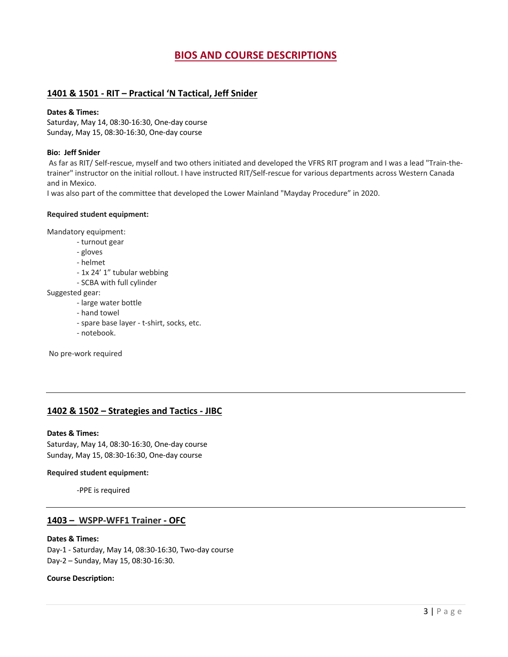# **BIOS AND COURSE DESCRIPTIONS**

## **1401 & 1501 - RIT – Practical 'N Tactical, Jeff Snider**

### **Dates & Times:**

Saturday, May 14, 08:30-16:30, One-day course Sunday, May 15, 08:30-16:30, One-day course

### **Bio: Jeff Snider**

As far as RIT/ Self-rescue, myself and two others initiated and developed the VFRS RIT program and I was a lead "Train-thetrainer" instructor on the initial rollout. I have instructed RIT/Self-rescue for various departments across Western Canada and in Mexico.

I was also part of the committee that developed the Lower Mainland "Mayday Procedure" in 2020.

### **Required student equipment:**

Mandatory equipment:

- turnout gear
- gloves
- helmet
- 1x 24' 1" tubular webbing
- SCBA with full cylinder

Suggested gear:

- large water bottle
- hand towel
- spare base layer t-shirt, socks, etc.
- notebook.

No pre-work required

## **1402 & 1502 – Strategies and Tactics - JIBC**

#### **Dates & Times:**

Saturday, May 14, 08:30-16:30, One-day course Sunday, May 15, 08:30-16:30, One-day course

#### **Required student equipment:**

-PPE is required

## **1403 – WSPP-WFF1 Trainer - OFC**

### **Dates & Times:**

Day-1 - Saturday, May 14, 08:30-16:30, Two-day course Day-2 – Sunday, May 15, 08:30-16:30.

**Course Description:**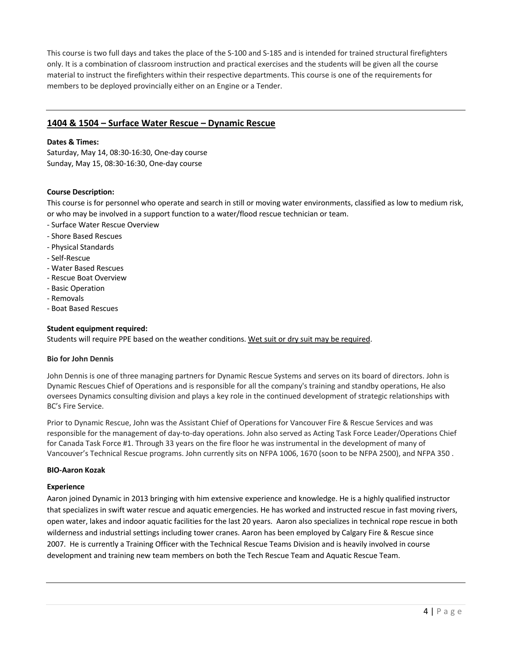This course is two full days and takes the place of the S-100 and S-185 and is intended for trained structural firefighters only. It is a combination of classroom instruction and practical exercises and the students will be given all the course material to instruct the firefighters within their respective departments. This course is one of the requirements for members to be deployed provincially either on an Engine or a Tender.

## **1404 & 1504 – Surface Water Rescue – Dynamic Rescue**

### **Dates & Times:**

Saturday, May 14, 08:30-16:30, One-day course Sunday, May 15, 08:30-16:30, One-day course

### **Course Description:**

This course is for personnel who operate and search in still or moving water environments, classified as low to medium risk, or who may be involved in a support function to a water/flood rescue technician or team.

- Surface Water Rescue Overview
- Shore Based Rescues
- Physical Standards
- Self-Rescue
- Water Based Rescues
- Rescue Boat Overview
- Basic Operation
- Removals
- Boat Based Rescues

#### **Student equipment required:**

Students will require PPE based on the weather conditions. Wet suit or dry suit may be required.

#### **Bio for John Dennis**

John Dennis is one of three managing partners for Dynamic Rescue Systems and serves on its board of directors. John is Dynamic Rescues Chief of Operations and is responsible for all the company's training and standby operations, He also oversees Dynamics consulting division and plays a key role in the continued development of strategic relationships with BC's Fire Service.

Prior to Dynamic Rescue, John was the Assistant Chief of Operations for Vancouver Fire & Rescue Services and was responsible for the management of day-to-day operations. John also served as Acting Task Force Leader/Operations Chief for Canada Task Force #1. Through 33 years on the fire floor he was instrumental in the development of many of Vancouver's Technical Rescue programs. John currently sits on NFPA 1006, 1670 (soon to be NFPA 2500), and NFPA 350 .

#### **BIO-Aaron Kozak**

#### **Experience**

Aaron joined Dynamic in 2013 bringing with him extensive experience and knowledge. He is a highly qualified instructor that specializes in swift water rescue and aquatic emergencies. He has worked and instructed rescue in fast moving rivers, open water, lakes and indoor aquatic facilities for the last 20 years. Aaron also specializes in technical rope rescue in both wilderness and industrial settings including tower cranes. Aaron has been employed by Calgary Fire & Rescue since 2007. He is currently a Training Officer with the Technical Rescue Teams Division and is heavily involved in course development and training new team members on both the Tech Rescue Team and Aquatic Rescue Team.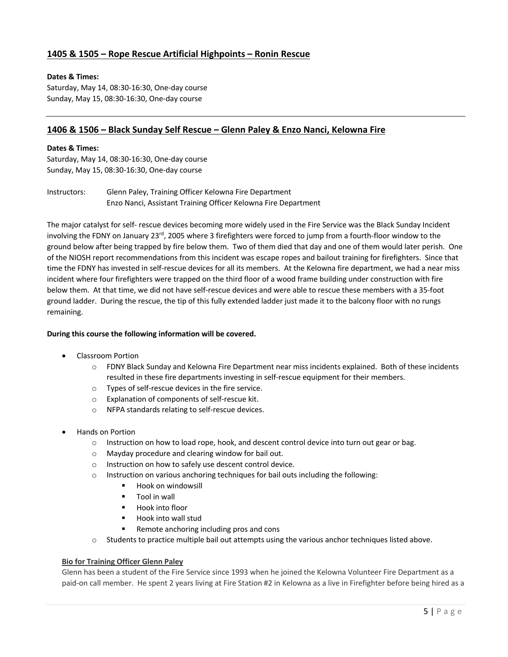# **1405 & 1505 – Rope Rescue Artificial Highpoints – Ronin Rescue**

## **Dates & Times:**

Saturday, May 14, 08:30-16:30, One-day course Sunday, May 15, 08:30-16:30, One-day course

# **1406 & 1506 – Black Sunday Self Rescue – Glenn Paley & Enzo Nanci, Kelowna Fire**

### **Dates & Times:**

Saturday, May 14, 08:30-16:30, One-day course Sunday, May 15, 08:30-16:30, One-day course

Instructors: Glenn Paley, Training Officer Kelowna Fire Department Enzo Nanci, Assistant Training Officer Kelowna Fire Department

The major catalyst for self- rescue devices becoming more widely used in the Fire Service was the Black Sunday Incident involving the FDNY on January 23<sup>rd</sup>, 2005 where 3 firefighters were forced to jump from a fourth-floor window to the ground below after being trapped by fire below them. Two of them died that day and one of them would later perish. One of the NIOSH report recommendations from this incident was escape ropes and bailout training for firefighters. Since that time the FDNY has invested in self-rescue devices for all its members. At the Kelowna fire department, we had a near miss incident where four firefighters were trapped on the third floor of a wood frame building under construction with fire below them. At that time, we did not have self-rescue devices and were able to rescue these members with a 35-foot ground ladder. During the rescue, the tip of this fully extended ladder just made it to the balcony floor with no rungs remaining.

## **During this course the following information will be covered.**

- Classroom Portion
	- o FDNY Black Sunday and Kelowna Fire Department near miss incidents explained. Both of these incidents resulted in these fire departments investing in self-rescue equipment for their members.
	- o Types of self-rescue devices in the fire service.
	- o Explanation of components of self-rescue kit.
	- o NFPA standards relating to self-rescue devices.
- Hands on Portion
	- o Instruction on how to load rope, hook, and descent control device into turn out gear or bag.
	- o Mayday procedure and clearing window for bail out.
	- o Instruction on how to safely use descent control device.
	- o Instruction on various anchoring techniques for bail outs including the following:
		- Hook on windowsill
		- Tool in wall
		- § Hook into floor
		- Hook into wall stud
		- Remote anchoring including pros and cons
	- o Students to practice multiple bail out attempts using the various anchor techniques listed above.

## **Bio for Training Officer Glenn Paley**

Glenn has been a student of the Fire Service since 1993 when he joined the Kelowna Volunteer Fire Department as a paid-on call member. He spent 2 years living at Fire Station #2 in Kelowna as a live in Firefighter before being hired as a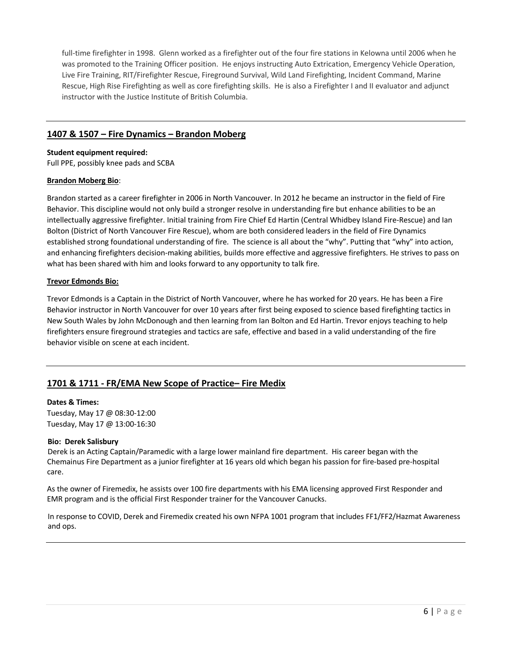full-time firefighter in 1998. Glenn worked as a firefighter out of the four fire stations in Kelowna until 2006 when he was promoted to the Training Officer position. He enjoys instructing Auto Extrication, Emergency Vehicle Operation, Live Fire Training, RIT/Firefighter Rescue, Fireground Survival, Wild Land Firefighting, Incident Command, Marine Rescue, High Rise Firefighting as well as core firefighting skills. He is also a Firefighter I and II evaluator and adjunct instructor with the Justice Institute of British Columbia.

## **1407 & 1507 – Fire Dynamics – Brandon Moberg**

#### **Student equipment required:**

Full PPE, possibly knee pads and SCBA

### **Brandon Moberg Bio**:

Brandon started as a career firefighter in 2006 in North Vancouver. In 2012 he became an instructor in the field of Fire Behavior. This discipline would not only build a stronger resolve in understanding fire but enhance abilities to be an intellectually aggressive firefighter. Initial training from Fire Chief Ed Hartin (Central Whidbey Island Fire-Rescue) and Ian Bolton (District of North Vancouver Fire Rescue), whom are both considered leaders in the field of Fire Dynamics established strong foundational understanding of fire. The science is all about the "why". Putting that "why" into action, and enhancing firefighters decision-making abilities, builds more effective and aggressive firefighters. He strives to pass on what has been shared with him and looks forward to any opportunity to talk fire.

## **Trevor Edmonds Bio:**

Trevor Edmonds is a Captain in the District of North Vancouver, where he has worked for 20 years. He has been a Fire Behavior instructor in North Vancouver for over 10 years after first being exposed to science based firefighting tactics in New South Wales by John McDonough and then learning from Ian Bolton and Ed Hartin. Trevor enjoys teaching to help firefighters ensure fireground strategies and tactics are safe, effective and based in a valid understanding of the fire behavior visible on scene at each incident.

# **1701 & 1711 - FR/EMA New Scope of Practice– Fire Medix**

#### **Dates & Times:**

Tuesday, May 17 @ 08:30-12:00 Tuesday, May 17 @ 13:00-16:30

## **Bio: Derek Salisbury**

Derek is an Acting Captain/Paramedic with a large lower mainland fire department. His career began with the Chemainus Fire Department as a junior firefighter at 16 years old which began his passion for fire-based pre-hospital care.

As the owner of Firemedix, he assists over 100 fire departments with his EMA licensing approved First Responder and EMR program and is the official First Responder trainer for the Vancouver Canucks.

In response to COVID, Derek and Firemedix created his own NFPA 1001 program that includes FF1/FF2/Hazmat Awareness and ops.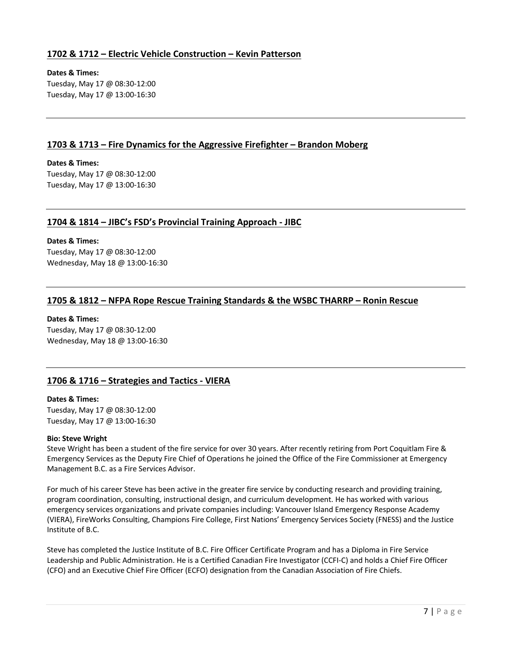## **1702 & 1712 – Electric Vehicle Construction – Kevin Patterson**

### **Dates & Times:**

Tuesday, May 17 @ 08:30-12:00 Tuesday, May 17 @ 13:00-16:30

## **1703 & 1713 – Fire Dynamics for the Aggressive Firefighter – Brandon Moberg**

## **Dates & Times:**

Tuesday, May 17 @ 08:30-12:00 Tuesday, May 17 @ 13:00-16:30

## **1704 & 1814 – JIBC's FSD's Provincial Training Approach - JIBC**

### **Dates & Times:**

Tuesday, May 17 @ 08:30-12:00 Wednesday, May 18 @ 13:00-16:30

## **1705 & 1812 – NFPA Rope Rescue Training Standards & the WSBC THARRP – Ronin Rescue**

### **Dates & Times:**

Tuesday, May 17 @ 08:30-12:00 Wednesday, May 18 @ 13:00-16:30

# **1706 & 1716 – Strategies and Tactics - VIERA**

#### **Dates & Times:**

Tuesday, May 17 @ 08:30-12:00 Tuesday, May 17 @ 13:00-16:30

#### **Bio: Steve Wright**

Steve Wright has been a student of the fire service for over 30 years. After recently retiring from Port Coquitlam Fire & Emergency Services as the Deputy Fire Chief of Operations he joined the Office of the Fire Commissioner at Emergency Management B.C. as a Fire Services Advisor.

For much of his career Steve has been active in the greater fire service by conducting research and providing training, program coordination, consulting, instructional design, and curriculum development. He has worked with various emergency services organizations and private companies including: Vancouver Island Emergency Response Academy (VIERA), FireWorks Consulting, Champions Fire College, First Nations' Emergency Services Society (FNESS) and the Justice Institute of B.C.

Steve has completed the Justice Institute of B.C. Fire Officer Certificate Program and has a Diploma in Fire Service Leadership and Public Administration. He is a Certified Canadian Fire Investigator (CCFI-C) and holds a Chief Fire Officer (CFO) and an Executive Chief Fire Officer (ECFO) designation from the Canadian Association of Fire Chiefs.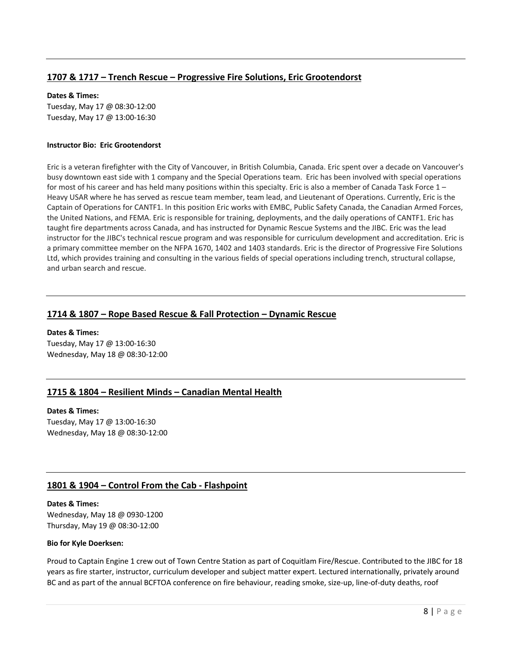# **1707 & 1717 – Trench Rescue – Progressive Fire Solutions, Eric Grootendorst**

### **Dates & Times:**

Tuesday, May 17 @ 08:30-12:00 Tuesday, May 17 @ 13:00-16:30

### **Instructor Bio: Eric Grootendorst**

Eric is a veteran firefighter with the City of Vancouver, in British Columbia, Canada. Eric spent over a decade on Vancouver's busy downtown east side with 1 company and the Special Operations team. Eric has been involved with special operations for most of his career and has held many positions within this specialty. Eric is also a member of Canada Task Force  $1 -$ Heavy USAR where he has served as rescue team member, team lead, and Lieutenant of Operations. Currently, Eric is the Captain of Operations for CANTF1. In this position Eric works with EMBC, Public Safety Canada, the Canadian Armed Forces, the United Nations, and FEMA. Eric is responsible for training, deployments, and the daily operations of CANTF1. Eric has taught fire departments across Canada, and has instructed for Dynamic Rescue Systems and the JIBC. Eric was the lead instructor for the JIBC's technical rescue program and was responsible for curriculum development and accreditation. Eric is a primary committee member on the NFPA 1670, 1402 and 1403 standards. Eric is the director of Progressive Fire Solutions Ltd, which provides training and consulting in the various fields of special operations including trench, structural collapse, and urban search and rescue.

# **1714 & 1807 – Rope Based Rescue & Fall Protection – Dynamic Rescue**

### **Dates & Times:**

Tuesday, May 17 @ 13:00-16:30 Wednesday, May 18 @ 08:30-12:00

# **1715 & 1804 – Resilient Minds – Canadian Mental Health**

## **Dates & Times:** Tuesday, May 17 @ 13:00-16:30

Wednesday, May 18 @ 08:30-12:00

# **1801 & 1904 – Control From the Cab - Flashpoint**

## **Dates & Times:**

Wednesday, May 18 @ 0930-1200 Thursday, May 19 @ 08:30-12:00

#### **Bio for Kyle Doerksen:**

Proud to Captain Engine 1 crew out of Town Centre Station as part of Coquitlam Fire/Rescue. Contributed to the JIBC for 18 years as fire starter, instructor, curriculum developer and subject matter expert. Lectured internationally, privately around BC and as part of the annual BCFTOA conference on fire behaviour, reading smoke, size-up, line-of-duty deaths, roof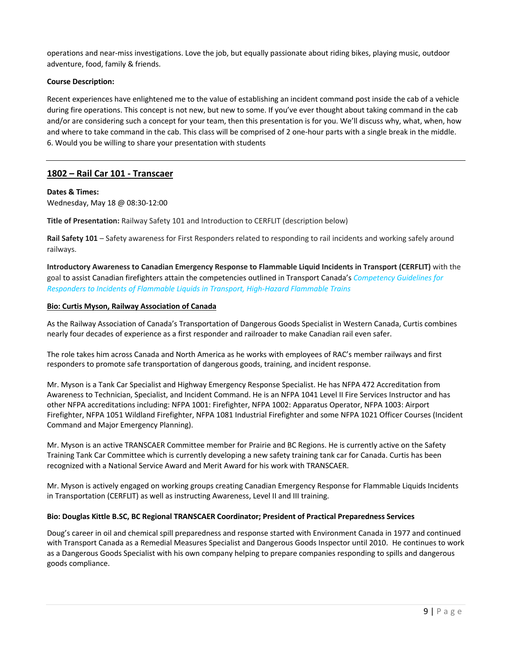operations and near-miss investigations. Love the job, but equally passionate about riding bikes, playing music, outdoor adventure, food, family & friends.

## **Course Description:**

Recent experiences have enlightened me to the value of establishing an incident command post inside the cab of a vehicle during fire operations. This concept is not new, but new to some. If you've ever thought about taking command in the cab and/or are considering such a concept for your team, then this presentation is for you. We'll discuss why, what, when, how and where to take command in the cab. This class will be comprised of 2 one-hour parts with a single break in the middle. 6. Would you be willing to share your presentation with students

# **1802 – Rail Car 101 - Transcaer**

## **Dates & Times:**

Wednesday, May 18 @ 08:30-12:00

**Title of Presentation:** Railway Safety 101 and Introduction to CERFLIT (description below)

**Rail Safety 101** – Safety awareness for First Responders related to responding to rail incidents and working safely around railways.

**Introductory Awareness to Canadian Emergency Response to Flammable Liquid Incidents in Transport (CERFLIT)** with the goal to assist Canadian firefighters attain the competencies outlined in Transport Canada's *Competency Guidelines for Responders to Incidents of Flammable Liquids in Transport, High-Hazard Flammable Trains*

### **Bio: Curtis Myson, Railway Association of Canada**

As the Railway Association of Canada's Transportation of Dangerous Goods Specialist in Western Canada, Curtis combines nearly four decades of experience as a first responder and railroader to make Canadian rail even safer.

The role takes him across Canada and North America as he works with employees of RAC's member railways and first responders to promote safe transportation of dangerous goods, training, and incident response.

Mr. Myson is a Tank Car Specialist and Highway Emergency Response Specialist. He has NFPA 472 Accreditation from Awareness to Technician, Specialist, and Incident Command. He is an NFPA 1041 Level II Fire Services Instructor and has other NFPA accreditations including: NFPA 1001: Firefighter, NFPA 1002: Apparatus Operator, NFPA 1003: Airport Firefighter, NFPA 1051 Wildland Firefighter, NFPA 1081 Industrial Firefighter and some NFPA 1021 Officer Courses (Incident Command and Major Emergency Planning).

Mr. Myson is an active TRANSCAER Committee member for Prairie and BC Regions. He is currently active on the Safety Training Tank Car Committee which is currently developing a new safety training tank car for Canada. Curtis has been recognized with a National Service Award and Merit Award for his work with TRANSCAER.

Mr. Myson is actively engaged on working groups creating Canadian Emergency Response for Flammable Liquids Incidents in Transportation (CERFLIT) as well as instructing Awareness, Level II and III training.

## **Bio: Douglas Kittle B.SC, BC Regional TRANSCAER Coordinator; President of Practical Preparedness Services**

Doug's career in oil and chemical spill preparedness and response started with Environment Canada in 1977 and continued with Transport Canada as a Remedial Measures Specialist and Dangerous Goods Inspector until 2010. He continues to work as a Dangerous Goods Specialist with his own company helping to prepare companies responding to spills and dangerous goods compliance.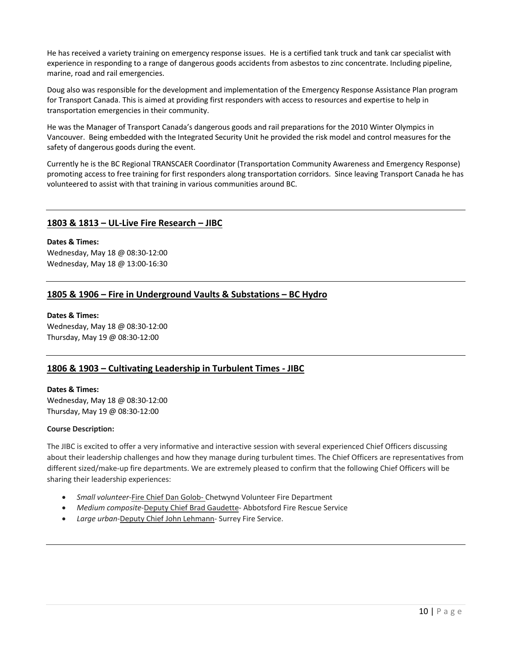He has received a variety training on emergency response issues. He is a certified tank truck and tank car specialist with experience in responding to a range of dangerous goods accidents from asbestos to zinc concentrate. Including pipeline, marine, road and rail emergencies.

Doug also was responsible for the development and implementation of the Emergency Response Assistance Plan program for Transport Canada. This is aimed at providing first responders with access to resources and expertise to help in transportation emergencies in their community.

He was the Manager of Transport Canada's dangerous goods and rail preparations for the 2010 Winter Olympics in Vancouver. Being embedded with the Integrated Security Unit he provided the risk model and control measures for the safety of dangerous goods during the event.

Currently he is the BC Regional TRANSCAER Coordinator (Transportation Community Awareness and Emergency Response) promoting access to free training for first responders along transportation corridors. Since leaving Transport Canada he has volunteered to assist with that training in various communities around BC.

## **1803 & 1813 – UL-Live Fire Research – JIBC**

## **Dates & Times:**

Wednesday, May 18 @ 08:30-12:00 Wednesday, May 18 @ 13:00-16:30

## **1805 & 1906 – Fire in Underground Vaults & Substations – BC Hydro**

#### **Dates & Times:**

Wednesday, May 18 @ 08:30-12:00 Thursday, May 19 @ 08:30-12:00

# **1806 & 1903 – Cultivating Leadership in Turbulent Times - JIBC**

### **Dates & Times:**

Wednesday, May 18 @ 08:30-12:00 Thursday, May 19 @ 08:30-12:00

## **Course Description:**

The JIBC is excited to offer a very informative and interactive session with several experienced Chief Officers discussing about their leadership challenges and how they manage during turbulent times. The Chief Officers are representatives from different sized/make-up fire departments. We are extremely pleased to confirm that the following Chief Officers will be sharing their leadership experiences:

- *Small volunteer*-Fire Chief Dan Golob- Chetwynd Volunteer Fire Department
- *Medium composite*-Deputy Chief Brad Gaudette- Abbotsford Fire Rescue Service
- *Large urban*-Deputy Chief John Lehmann- Surrey Fire Service.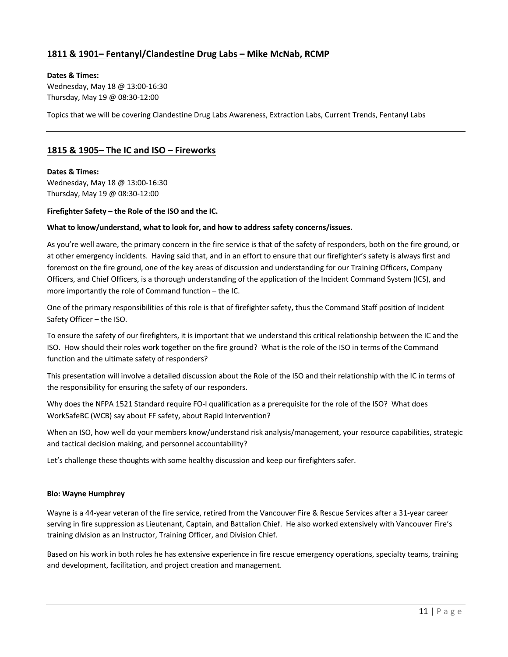# **1811 & 1901– Fentanyl/Clandestine Drug Labs – Mike McNab, RCMP**

#### **Dates & Times:**

Wednesday, May 18 @ 13:00-16:30 Thursday, May 19 @ 08:30-12:00

Topics that we will be covering Clandestine Drug Labs Awareness, Extraction Labs, Current Trends, Fentanyl Labs

## **1815 & 1905– The IC and ISO – Fireworks**

## **Dates & Times:** Wednesday, May 18 @ 13:00-16:30 Thursday, May 19 @ 08:30-12:00

### **Firefighter Safety – the Role of the ISO and the IC.**

### **What to know/understand, what to look for, and how to address safety concerns/issues.**

As you're well aware, the primary concern in the fire service is that of the safety of responders, both on the fire ground, or at other emergency incidents. Having said that, and in an effort to ensure that our firefighter's safety is always first and foremost on the fire ground, one of the key areas of discussion and understanding for our Training Officers, Company Officers, and Chief Officers, is a thorough understanding of the application of the Incident Command System (ICS), and more importantly the role of Command function – the IC.

One of the primary responsibilities of this role is that of firefighter safety, thus the Command Staff position of Incident Safety Officer – the ISO.

To ensure the safety of our firefighters, it is important that we understand this critical relationship between the IC and the ISO. How should their roles work together on the fire ground? What is the role of the ISO in terms of the Command function and the ultimate safety of responders?

This presentation will involve a detailed discussion about the Role of the ISO and their relationship with the IC in terms of the responsibility for ensuring the safety of our responders.

Why does the NFPA 1521 Standard require FO-I qualification as a prerequisite for the role of the ISO? What does WorkSafeBC (WCB) say about FF safety, about Rapid Intervention?

When an ISO, how well do your members know/understand risk analysis/management, your resource capabilities, strategic and tactical decision making, and personnel accountability?

Let's challenge these thoughts with some healthy discussion and keep our firefighters safer.

#### **Bio: Wayne Humphrey**

Wayne is a 44-year veteran of the fire service, retired from the Vancouver Fire & Rescue Services after a 31-year career serving in fire suppression as Lieutenant, Captain, and Battalion Chief. He also worked extensively with Vancouver Fire's training division as an Instructor, Training Officer, and Division Chief.

Based on his work in both roles he has extensive experience in fire rescue emergency operations, specialty teams, training and development, facilitation, and project creation and management.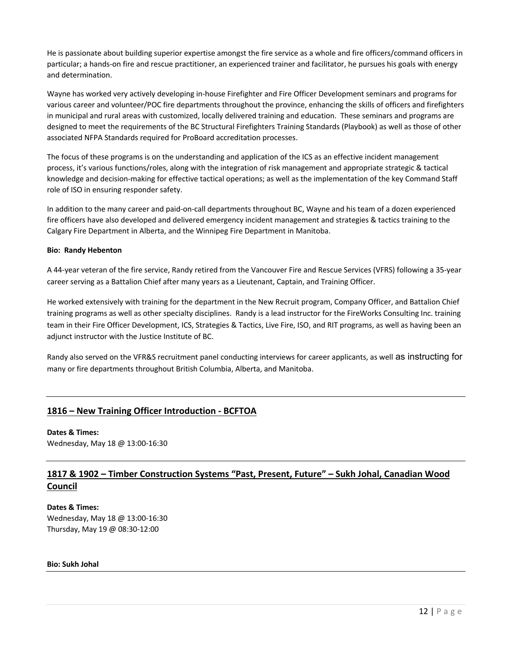He is passionate about building superior expertise amongst the fire service as a whole and fire officers/command officers in particular; a hands-on fire and rescue practitioner, an experienced trainer and facilitator, he pursues his goals with energy and determination.

Wayne has worked very actively developing in-house Firefighter and Fire Officer Development seminars and programs for various career and volunteer/POC fire departments throughout the province, enhancing the skills of officers and firefighters in municipal and rural areas with customized, locally delivered training and education. These seminars and programs are designed to meet the requirements of the BC Structural Firefighters Training Standards (Playbook) as well as those of other associated NFPA Standards required for ProBoard accreditation processes.

The focus of these programs is on the understanding and application of the ICS as an effective incident management process, it's various functions/roles, along with the integration of risk management and appropriate strategic & tactical knowledge and decision-making for effective tactical operations; as well as the implementation of the key Command Staff role of ISO in ensuring responder safety.

In addition to the many career and paid-on-call departments throughout BC, Wayne and his team of a dozen experienced fire officers have also developed and delivered emergency incident management and strategies & tactics training to the Calgary Fire Department in Alberta, and the Winnipeg Fire Department in Manitoba.

### **Bio: Randy Hebenton**

A 44-year veteran of the fire service, Randy retired from the Vancouver Fire and Rescue Services (VFRS) following a 35-year career serving as a Battalion Chief after many years as a Lieutenant, Captain, and Training Officer.

He worked extensively with training for the department in the New Recruit program, Company Officer, and Battalion Chief training programs as well as other specialty disciplines. Randy is a lead instructor for the FireWorks Consulting Inc. training team in their Fire Officer Development, ICS, Strategies & Tactics, Live Fire, ISO, and RIT programs, as well as having been an adjunct instructor with the Justice Institute of BC.

Randy also served on the VFR&S recruitment panel conducting interviews for career applicants, as well as instructing for many or fire departments throughout British Columbia, Alberta, and Manitoba.

## **1816 – New Training Officer Introduction - BCFTOA**

**Dates & Times:**

Wednesday, May 18 @ 13:00-16:30

# **1817 & 1902 – Timber Construction Systems "Past, Present, Future" – Sukh Johal, Canadian Wood Council**

**Dates & Times:** Wednesday, May 18 @ 13:00-16:30 Thursday, May 19 @ 08:30-12:00

### **Bio: Sukh Johal**